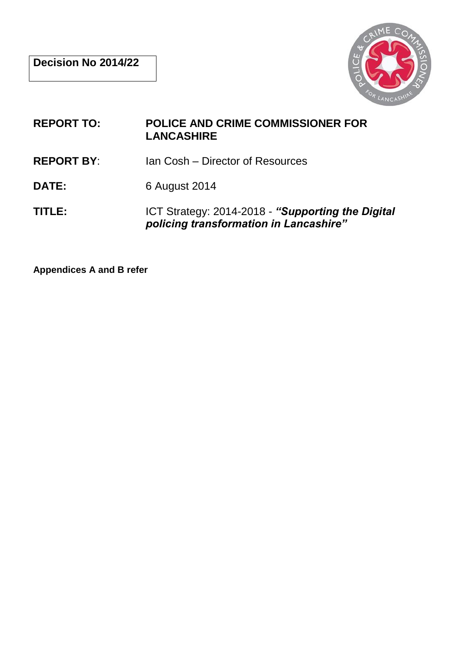

- **REPORT TO: POLICE AND CRIME COMMISSIONER FOR LANCASHIRE**
- **REPORT BY**: Ian Cosh Director of Resources
- **DATE:** 6 August 2014
- **TITLE:** ICT Strategy: 2014-2018 *"Supporting the Digital policing transformation in Lancashire"*

**Appendices A and B refer**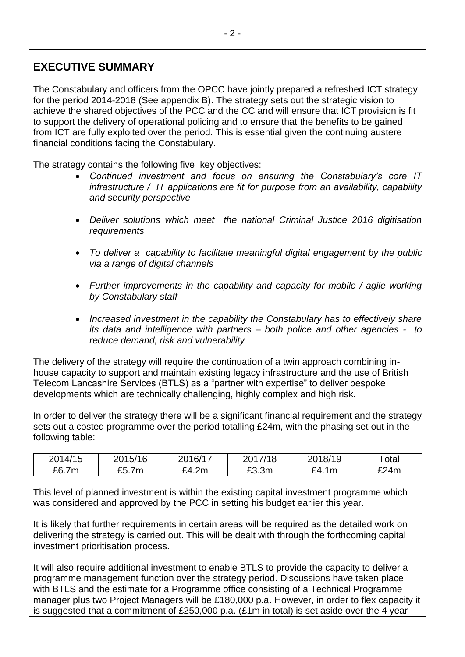# **EXECUTIVE SUMMARY**

The Constabulary and officers from the OPCC have jointly prepared a refreshed ICT strategy for the period 2014-2018 (See appendix B). The strategy sets out the strategic vision to achieve the shared objectives of the PCC and the CC and will ensure that ICT provision is fit to support the delivery of operational policing and to ensure that the benefits to be gained from ICT are fully exploited over the period. This is essential given the continuing austere financial conditions facing the Constabulary.

The strategy contains the following five key objectives:

- *Continued investment and focus on ensuring the Constabulary's core IT infrastructure / IT applications are fit for purpose from an availability, capability and security perspective*
- *Deliver solutions which meet the national Criminal Justice 2016 digitisation requirements*
- *To deliver a capability to facilitate meaningful digital engagement by the public via a range of digital channels*
- *Further improvements in the capability and capacity for mobile / agile working by Constabulary staff*
- *Increased investment in the capability the Constabulary has to effectively share its data and intelligence with partners – both police and other agencies - to reduce demand, risk and vulnerability*

The delivery of the strategy will require the continuation of a twin approach combining inhouse capacity to support and maintain existing legacy infrastructure and the use of British Telecom Lancashire Services (BTLS) as a "partner with expertise" to deliver bespoke developments which are technically challenging, highly complex and high risk.

In order to deliver the strategy there will be a significant financial requirement and the strategy sets out a costed programme over the period totalling £24m, with the phasing set out in the following table:

| 2014/15 | 2015/16 | 2016/17 | 2017/18 | 2018/19    | $\tau$ otal |
|---------|---------|---------|---------|------------|-------------|
| £6.7m   | £5.7m   | £4.2m   | £3.3m   | £4.<br>.1m | £24m        |

This level of planned investment is within the existing capital investment programme which was considered and approved by the PCC in setting his budget earlier this year.

It is likely that further requirements in certain areas will be required as the detailed work on delivering the strategy is carried out. This will be dealt with through the forthcoming capital investment prioritisation process.

It will also require additional investment to enable BTLS to provide the capacity to deliver a programme management function over the strategy period. Discussions have taken place with BTLS and the estimate for a Programme office consisting of a Technical Programme manager plus two Project Managers will be £180,000 p.a. However, in order to flex capacity it is suggested that a commitment of £250,000 p.a. (£1m in total) is set aside over the 4 year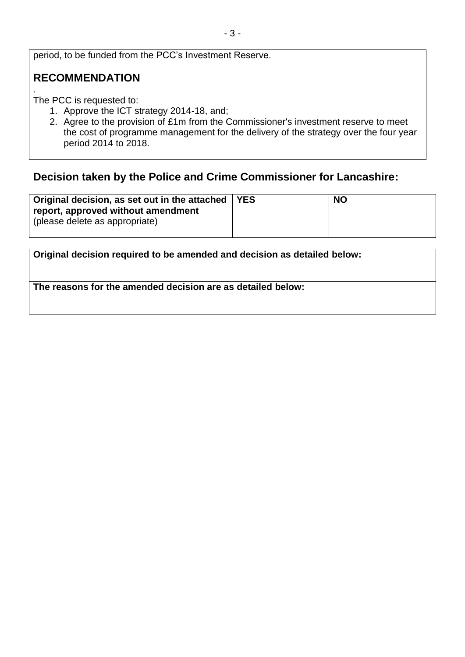period, to be funded from the PCC's Investment Reserve.

## **RECOMMENDATION**

. The PCC is requested to:

- 1. Approve the ICT strategy 2014-18, and;
- 2. Agree to the provision of £1m from the Commissioner's investment reserve to meet the cost of programme management for the delivery of the strategy over the four year period 2014 to 2018.

### **Decision taken by the Police and Crime Commissioner for Lancashire:**

| Original decision, as set out in the attached   YES<br>report, approved without amendment<br>(please delete as appropriate) | <b>NO</b> |
|-----------------------------------------------------------------------------------------------------------------------------|-----------|
|                                                                                                                             |           |

| Original decision required to be amended and decision as detailed below: |  |
|--------------------------------------------------------------------------|--|
| The reasons for the amended decision are as detailed below:              |  |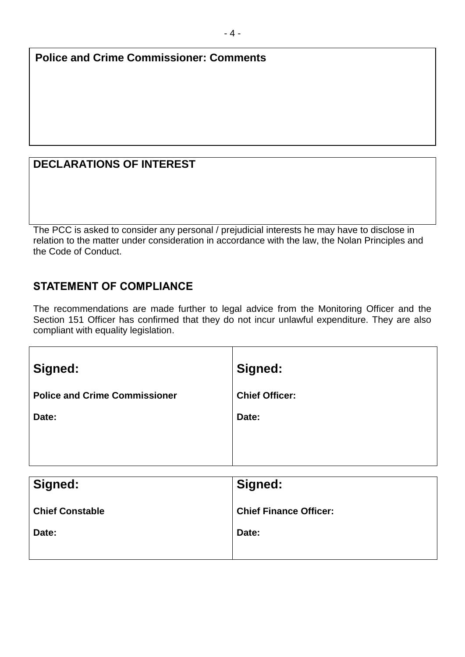**Police and Crime Commissioner: Comments**

## **DECLARATIONS OF INTEREST**

The PCC is asked to consider any personal / prejudicial interests he may have to disclose in relation to the matter under consideration in accordance with the law, the Nolan Principles and the Code of Conduct.

## **STATEMENT OF COMPLIANCE**

The recommendations are made further to legal advice from the Monitoring Officer and the Section 151 Officer has confirmed that they do not incur unlawful expenditure. They are also compliant with equality legislation.

| Signed:                              | Signed:               |
|--------------------------------------|-----------------------|
| <b>Police and Crime Commissioner</b> | <b>Chief Officer:</b> |
| Date:                                | Date:                 |
|                                      |                       |
|                                      |                       |
| Signed:                              | Signed:               |
|                                      |                       |

| Signed:                | Signed:                       |
|------------------------|-------------------------------|
| <b>Chief Constable</b> | <b>Chief Finance Officer:</b> |
| Date:                  | Date:                         |
|                        |                               |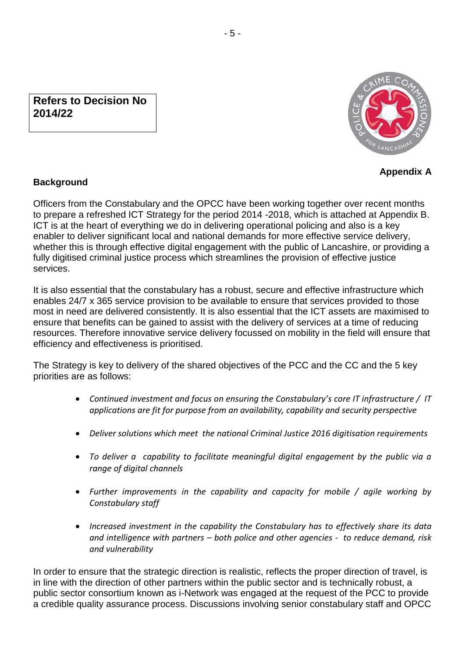### **Refers to Decision No 2014/22**



**Appendix A**

### **Background**

Officers from the Constabulary and the OPCC have been working together over recent months to prepare a refreshed ICT Strategy for the period 2014 -2018, which is attached at Appendix B. ICT is at the heart of everything we do in delivering operational policing and also is a key enabler to deliver significant local and national demands for more effective service delivery, whether this is through effective digital engagement with the public of Lancashire, or providing a fully digitised criminal justice process which streamlines the provision of effective justice services.

It is also essential that the constabulary has a robust, secure and effective infrastructure which enables 24/7 x 365 service provision to be available to ensure that services provided to those most in need are delivered consistently. It is also essential that the ICT assets are maximised to ensure that benefits can be gained to assist with the delivery of services at a time of reducing resources. Therefore innovative service delivery focussed on mobility in the field will ensure that efficiency and effectiveness is prioritised.

The Strategy is key to delivery of the shared objectives of the PCC and the CC and the 5 key priorities are as follows:

- *Continued investment and focus on ensuring the Constabulary's core IT infrastructure / IT applications are fit for purpose from an availability, capability and security perspective*
- *Deliver solutions which meet the national Criminal Justice 2016 digitisation requirements*
- *To deliver a capability to facilitate meaningful digital engagement by the public via a range of digital channels*
- *Further improvements in the capability and capacity for mobile / agile working by Constabulary staff*
- *Increased investment in the capability the Constabulary has to effectively share its data and intelligence with partners – both police and other agencies - to reduce demand, risk and vulnerability*

In order to ensure that the strategic direction is realistic, reflects the proper direction of travel, is in line with the direction of other partners within the public sector and is technically robust, a public sector consortium known as i-Network was engaged at the request of the PCC to provide a credible quality assurance process. Discussions involving senior constabulary staff and OPCC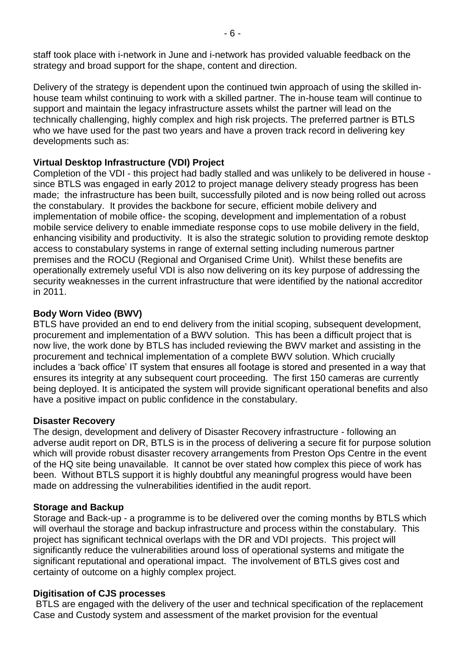staff took place with i-network in June and i-network has provided valuable feedback on the strategy and broad support for the shape, content and direction.

Delivery of the strategy is dependent upon the continued twin approach of using the skilled inhouse team whilst continuing to work with a skilled partner. The in-house team will continue to support and maintain the legacy infrastructure assets whilst the partner will lead on the technically challenging, highly complex and high risk projects. The preferred partner is BTLS who we have used for the past two years and have a proven track record in delivering key developments such as:

#### **Virtual Desktop Infrastructure (VDI) Project**

Completion of the VDI - this project had badly stalled and was unlikely to be delivered in house since BTLS was engaged in early 2012 to project manage delivery steady progress has been made; the infrastructure has been built, successfully piloted and is now being rolled out across the constabulary. It provides the backbone for secure, efficient mobile delivery and implementation of mobile office- the scoping, development and implementation of a robust mobile service delivery to enable immediate response cops to use mobile delivery in the field, enhancing visibility and productivity. It is also the strategic solution to providing remote desktop access to constabulary systems in range of external setting including numerous partner premises and the ROCU (Regional and Organised Crime Unit). Whilst these benefits are operationally extremely useful VDI is also now delivering on its key purpose of addressing the security weaknesses in the current infrastructure that were identified by the national accreditor in 2011.

#### **Body Worn Video (BWV)**

BTLS have provided an end to end delivery from the initial scoping, subsequent development, procurement and implementation of a BWV solution. This has been a difficult project that is now live, the work done by BTLS has included reviewing the BWV market and assisting in the procurement and technical implementation of a complete BWV solution. Which crucially includes a 'back office' IT system that ensures all footage is stored and presented in a way that ensures its integrity at any subsequent court proceeding. The first 150 cameras are currently being deployed. It is anticipated the system will provide significant operational benefits and also have a positive impact on public confidence in the constabulary.

#### **Disaster Recovery**

The design, development and delivery of Disaster Recovery infrastructure - following an adverse audit report on DR, BTLS is in the process of delivering a secure fit for purpose solution which will provide robust disaster recovery arrangements from Preston Ops Centre in the event of the HQ site being unavailable. It cannot be over stated how complex this piece of work has been. Without BTLS support it is highly doubtful any meaningful progress would have been made on addressing the vulnerabilities identified in the audit report.

#### **Storage and Backup**

Storage and Back-up - a programme is to be delivered over the coming months by BTLS which will overhaul the storage and backup infrastructure and process within the constabulary. This project has significant technical overlaps with the DR and VDI projects. This project will significantly reduce the vulnerabilities around loss of operational systems and mitigate the significant reputational and operational impact. The involvement of BTLS gives cost and certainty of outcome on a highly complex project.

#### **Digitisation of CJS processes**

BTLS are engaged with the delivery of the user and technical specification of the replacement Case and Custody system and assessment of the market provision for the eventual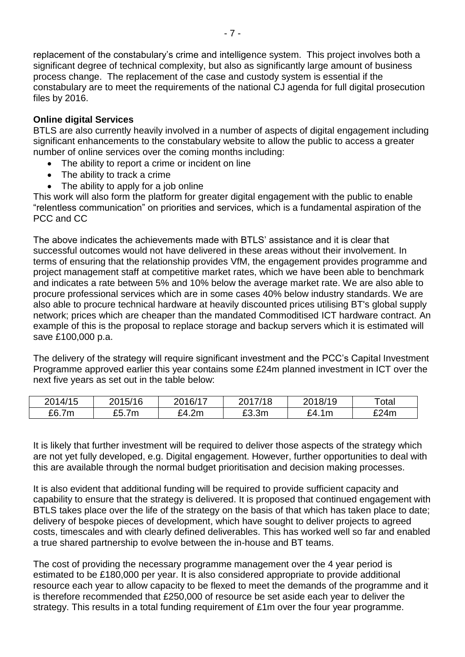replacement of the constabulary's crime and intelligence system. This project involves both a significant degree of technical complexity, but also as significantly large amount of business process change. The replacement of the case and custody system is essential if the constabulary are to meet the requirements of the national CJ agenda for full digital prosecution files by 2016.

#### **Online digital Services**

BTLS are also currently heavily involved in a number of aspects of digital engagement including significant enhancements to the constabulary website to allow the public to access a greater number of online services over the coming months including:

- The ability to report a crime or incident on line
- The ability to track a crime
- The ability to apply for a job online

This work will also form the platform for greater digital engagement with the public to enable "relentless communication" on priorities and services, which is a fundamental aspiration of the PCC and CC

The above indicates the achievements made with BTLS' assistance and it is clear that successful outcomes would not have delivered in these areas without their involvement. In terms of ensuring that the relationship provides VfM, the engagement provides programme and project management staff at competitive market rates, which we have been able to benchmark and indicates a rate between 5% and 10% below the average market rate. We are also able to procure professional services which are in some cases 40% below industry standards. We are also able to procure technical hardware at heavily discounted prices utilising BT's global supply network; prices which are cheaper than the mandated Commoditised ICT hardware contract. An example of this is the proposal to replace storage and backup servers which it is estimated will save £100,000 p.a.

The delivery of the strategy will require significant investment and the PCC's Capital Investment Programme approved earlier this year contains some £24m planned investment in ICT over the next five years as set out in the table below:

| 2014/15 | 2015/16     | 2016/17         | 2017/18 | ეი18/19   | Total |
|---------|-------------|-----------------|---------|-----------|-------|
| £6.7m   | cг<br>£5.7m | ۴4<br>4.2m<br>- | £3.3m   | £4.<br>1m | £24m  |

It is likely that further investment will be required to deliver those aspects of the strategy which are not yet fully developed, e.g. Digital engagement. However, further opportunities to deal with this are available through the normal budget prioritisation and decision making processes.

It is also evident that additional funding will be required to provide sufficient capacity and capability to ensure that the strategy is delivered. It is proposed that continued engagement with BTLS takes place over the life of the strategy on the basis of that which has taken place to date; delivery of bespoke pieces of development, which have sought to deliver projects to agreed costs, timescales and with clearly defined deliverables. This has worked well so far and enabled a true shared partnership to evolve between the in-house and BT teams.

The cost of providing the necessary programme management over the 4 year period is estimated to be £180,000 per year. It is also considered appropriate to provide additional resource each year to allow capacity to be flexed to meet the demands of the programme and it is therefore recommended that £250,000 of resource be set aside each year to deliver the strategy. This results in a total funding requirement of £1m over the four year programme.